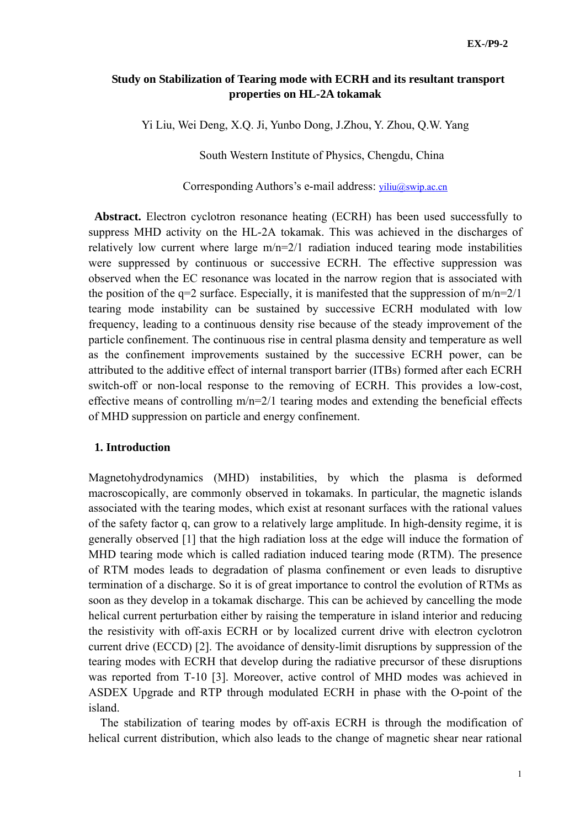# **Study on Stabilization of Tearing mode with ECRH and its resultant transport properties on HL-2A tokamak**

Yi Liu, Wei Deng, X.Q. Ji, Yunbo Dong, J.Zhou, Y. Zhou, Q.W. Yang

South Western Institute of Physics, Chengdu, China

Corresponding Authors's e-mail address: viliu@swip.ac.cn

**Abstract.** Electron cyclotron resonance heating (ECRH) has been used successfully to suppress MHD activity on the HL-2A tokamak. This was achieved in the discharges of relatively low current where large  $m/n=2/1$  radiation induced tearing mode instabilities were suppressed by continuous or successive ECRH. The effective suppression was observed when the EC resonance was located in the narrow region that is associated with the position of the  $q=2$  surface. Especially, it is manifested that the suppression of  $m/n=2/1$ tearing mode instability can be sustained by successive ECRH modulated with low frequency, leading to a continuous density rise because of the steady improvement of the particle confinement. The continuous rise in central plasma density and temperature as well as the confinement improvements sustained by the successive ECRH power, can be attributed to the additive effect of internal transport barrier (ITBs) formed after each ECRH switch-off or non-local response to the removing of ECRH. This provides a low-cost, effective means of controlling m/n=2/1 tearing modes and extending the beneficial effects of MHD suppression on particle and energy confinement.

### **1. Introduction**

Magnetohydrodynamics (MHD) instabilities, by which the plasma is deformed macroscopically, are commonly observed in tokamaks. In particular, the magnetic islands associated with the tearing modes, which exist at resonant surfaces with the rational values of the safety factor q, can grow to a relatively large amplitude. In high-density regime, it is generally observed [1] that the high radiation loss at the edge will induce the formation of MHD tearing mode which is called radiation induced tearing mode (RTM). The presence of RTM modes leads to degradation of plasma confinement or even leads to disruptive termination of a discharge. So it is of great importance to control the evolution of RTMs as soon as they develop in a tokamak discharge. This can be achieved by cancelling the mode helical current perturbation either by raising the temperature in island interior and reducing the resistivity with off-axis ECRH or by localized current drive with electron cyclotron current drive (ECCD) [2]. The avoidance of density-limit disruptions by suppression of the tearing modes with ECRH that develop during the radiative precursor of these disruptions was reported from T-10 [3]. Moreover, active control of MHD modes was achieved in ASDEX Upgrade and RTP through modulated ECRH in phase with the O-point of the island.

The stabilization of tearing modes by off-axis ECRH is through the modification of helical current distribution, which also leads to the change of magnetic shear near rational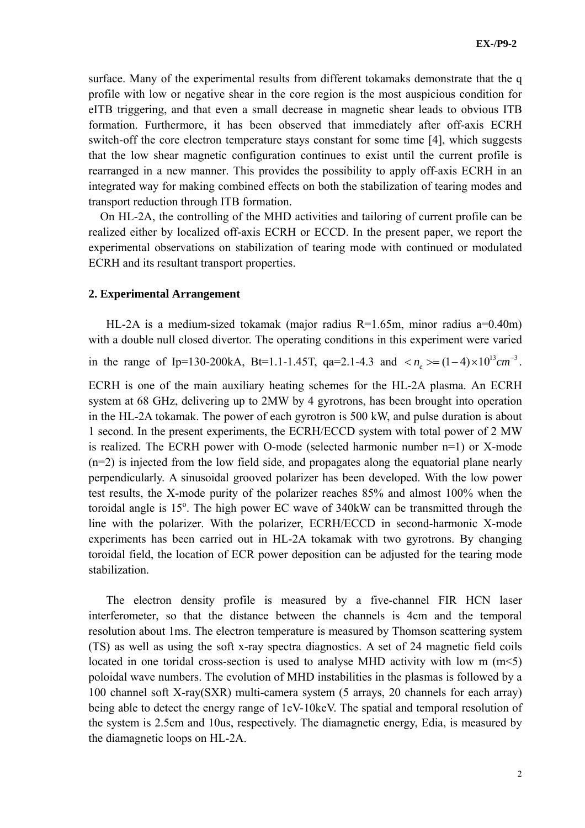surface. Many of the experimental results from different tokamaks demonstrate that the q profile with low or negative shear in the core region is the most auspicious condition for eITB triggering, and that even a small decrease in magnetic shear leads to obvious ITB formation. Furthermore, it has been observed that immediately after off-axis ECRH switch-off the core electron temperature stays constant for some time [4], which suggests that the low shear magnetic configuration continues to exist until the current profile is rearranged in a new manner. This provides the possibility to apply off-axis ECRH in an integrated way for making combined effects on both the stabilization of tearing modes and transport reduction through ITB formation.

On HL-2A, the controlling of the MHD activities and tailoring of current profile can be realized either by localized off-axis ECRH or ECCD. In the present paper, we report the experimental observations on stabilization of tearing mode with continued or modulated ECRH and its resultant transport properties.

### **2. Experimental Arrangement**

HL-2A is a medium-sized tokamak (major radius R=1.65m, minor radius a=0.40m) with a double null closed divertor. The operating conditions in this experiment were varied

in the range of Ip=130-200kA, Bt=1.1-1.45T, qa=2.1-4.3 and  $\langle n_{\rho} \rangle = (1-4) \times 10^{13} cm^{-3}$ .

ECRH is one of the main auxiliary heating schemes for the HL-2A plasma. An ECRH system at 68 GHz, delivering up to 2MW by 4 gyrotrons, has been brought into operation in the HL-2A tokamak. The power of each gyrotron is 500 kW, and pulse duration is about 1 second. In the present experiments, the ECRH/ECCD system with total power of 2 MW is realized. The ECRH power with O-mode (selected harmonic number n=1) or X-mode (n=2) is injected from the low field side, and propagates along the equatorial plane nearly perpendicularly. A sinusoidal grooved polarizer has been developed. With the low power test results, the X-mode purity of the polarizer reaches 85% and almost 100% when the toroidal angle is  $15^{\circ}$ . The high power EC wave of 340kW can be transmitted through the line with the polarizer. With the polarizer, ECRH/ECCD in second-harmonic X-mode experiments has been carried out in HL-2A tokamak with two gyrotrons. By changing toroidal field, the location of ECR power deposition can be adjusted for the tearing mode stabilization.

The electron density profile is measured by a five-channel FIR HCN laser interferometer, so that the distance between the channels is 4cm and the temporal resolution about 1ms. The electron temperature is measured by Thomson scattering system (TS) as well as using the soft x-ray spectra diagnostics. A set of 24 magnetic field coils located in one toridal cross-section is used to analyse MHD activity with low m (m<5) poloidal wave numbers. The evolution of MHD instabilities in the plasmas is followed by a 100 channel soft X-ray(SXR) multi-camera system (5 arrays, 20 channels for each array) being able to detect the energy range of 1eV-10keV. The spatial and temporal resolution of the system is 2.5cm and 10us, respectively. The diamagnetic energy, Edia, is measured by the diamagnetic loops on HL-2A.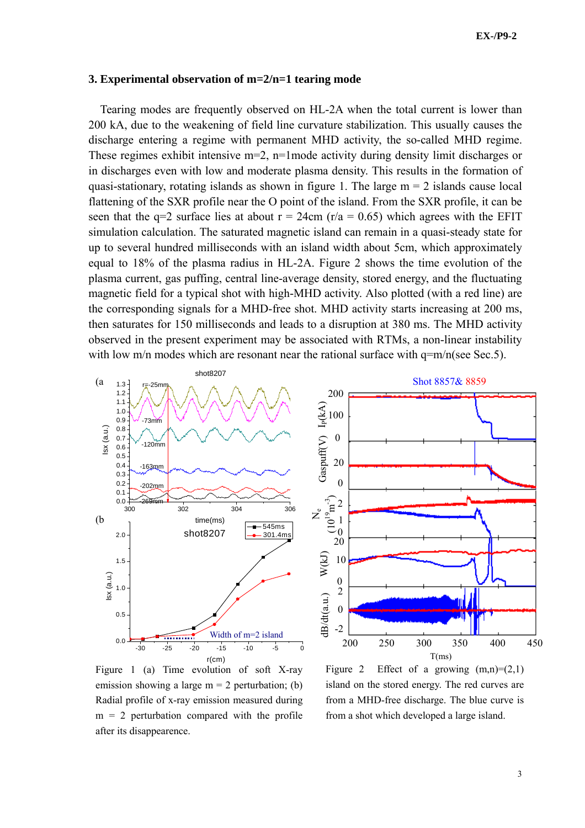#### **3. Experimental observation of m=2/n=1 tearing mode**

Tearing modes are frequently observed on HL-2A when the total current is lower than 200 kA, due to the weakening of field line curvature stabilization. This usually causes the discharge entering a regime with permanent MHD activity, the so-called MHD regime. These regimes exhibit intensive m=2, n=1mode activity during density limit discharges or in discharges even with low and moderate plasma density. This results in the formation of quasi-stationary, rotating islands as shown in figure 1. The large  $m = 2$  islands cause local flattening of the SXR profile near the O point of the island. From the SXR profile, it can be seen that the  $q=2$  surface lies at about  $r = 24$ cm ( $r/a = 0.65$ ) which agrees with the EFIT simulation calculation. The saturated magnetic island can remain in a quasi-steady state for up to several hundred milliseconds with an island width about 5cm, which approximately equal to 18% of the plasma radius in HL-2A. Figure 2 shows the time evolution of the plasma current, gas puffing, central line-average density, stored energy, and the fluctuating magnetic field for a typical shot with high-MHD activity. Also plotted (with a red line) are the corresponding signals for a MHD-free shot. MHD activity starts increasing at 200 ms, then saturates for 150 milliseconds and leads to a disruption at 380 ms. The MHD activity observed in the present experiment may be associated with RTMs, a non-linear instability with low m/n modes which are resonant near the rational surface with  $q=m/n$  (see Sec.5).



Figure 1 (a) Time evolution of soft X-ray emission showing a large  $m = 2$  perturbation; (b) Radial profile of x-ray emission measured during  $m = 2$  perturbation compared with the profile after its disappearence.

Figure 2 Effect of a growing  $(m,n)=(2,1)$ island on the stored energy. The red curves are from a MHD-free discharge. The blue curve is from a shot which developed a large island.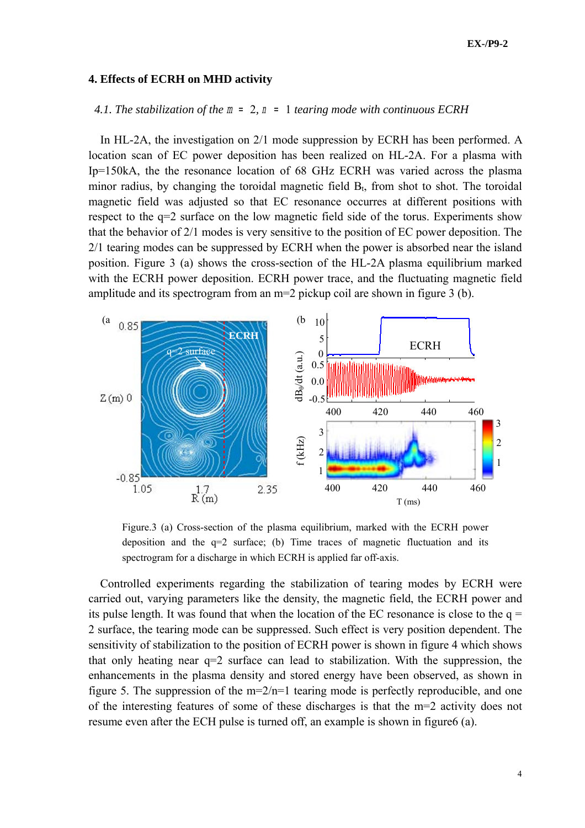### **4. Effects of ECRH on MHD activity**

## *4.1. The stabilization of the* m = 2*,* n = 1 *tearing mode with continuous ECRH*

In HL-2A, the investigation on 2/1 mode suppression by ECRH has been performed. A location scan of EC power deposition has been realized on HL-2A. For a plasma with Ip=150kA, the the resonance location of 68 GHz ECRH was varied across the plasma minor radius, by changing the toroidal magnetic field  $B_t$ , from shot to shot. The toroidal magnetic field was adjusted so that EC resonance occurres at different positions with respect to the q=2 surface on the low magnetic field side of the torus. Experiments show that the behavior of 2/1 modes is very sensitive to the position of EC power deposition. The 2/1 tearing modes can be suppressed by ECRH when the power is absorbed near the island position. Figure 3 (a) shows the cross-section of the HL-2A plasma equilibrium marked with the ECRH power deposition. ECRH power trace, and the fluctuating magnetic field amplitude and its spectrogram from an m=2 pickup coil are shown in figure 3 (b).



Figure.3 (a) Cross-section of the plasma equilibrium, marked with the ECRH power deposition and the  $q=2$  surface; (b) Time traces of magnetic fluctuation and its spectrogram for a discharge in which ECRH is applied far off-axis.

Controlled experiments regarding the stabilization of tearing modes by ECRH were carried out, varying parameters like the density, the magnetic field, the ECRH power and its pulse length. It was found that when the location of the EC resonance is close to the  $q =$ 2 surface, the tearing mode can be suppressed. Such effect is very position dependent. The sensitivity of stabilization to the position of ECRH power is shown in figure 4 which shows that only heating near q=2 surface can lead to stabilization. With the suppression, the enhancements in the plasma density and stored energy have been observed, as shown in figure 5. The suppression of the  $m=2/n=1$  tearing mode is perfectly reproducible, and one of the interesting features of some of these discharges is that the m=2 activity does not resume even after the ECH pulse is turned off, an example is shown in figure6 (a).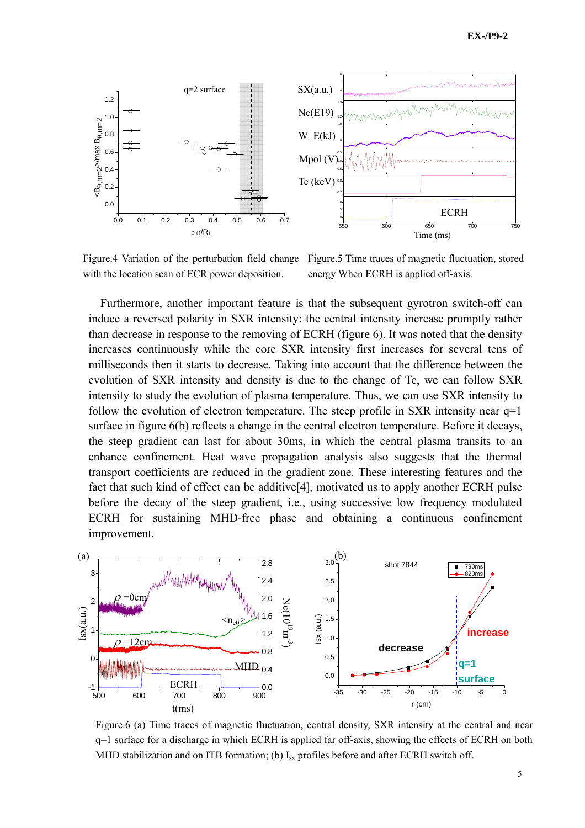

Figure.4 Variation of the perturbation field change Figure.5 Time traces of magnetic fluctuation, stored with the location scan of ECR power deposition.

energy When ECRH is applied off-axis.

Furthermore, another important feature is that the subsequent gyrotron switch-off can induce a reversed polarity in SXR intensity: the central intensity increase promptly rather than decrease in response to the removing of ECRH (figure 6). It was noted that the density increases continuously while the core SXR intensity first increases for several tens of milliseconds then it starts to decrease. Taking into account that the difference between the evolution of SXR intensity and density is due to the change of Te, we can follow SXR intensity to study the evolution of plasma temperature. Thus, we can use SXR intensity to follow the evolution of electron temperature. The steep profile in SXR intensity near  $q=1$ surface in figure 6(b) reflects a change in the central electron temperature. Before it decays, the steep gradient can last for about 30ms, in which the central plasma transits to an enhance confinement. Heat wave propagation analysis also suggests that the thermal transport coefficients are reduced in the gradient zone. These interesting features and the fact that such kind of effect can be additive[4], motivated us to apply another ECRH pulse before the decay of the steep gradient, i.e., using successive low frequency modulated ECRH for sustaining MHD-free phase and obtaining a continuous confinement improvement.



*4.4. The states of the tearing model in which ECRH* is applied far off-axis, showing the effects of ECRH on both  $\frac{d^2y}{dx^2}$ Figure.6 (a) Time traces of magnetic fluctuation, central density, SXR intensity at the central and near MHD stabilization and on ITB formation; (b)  $I_{sx}$  profiles before and after ECRH switch off.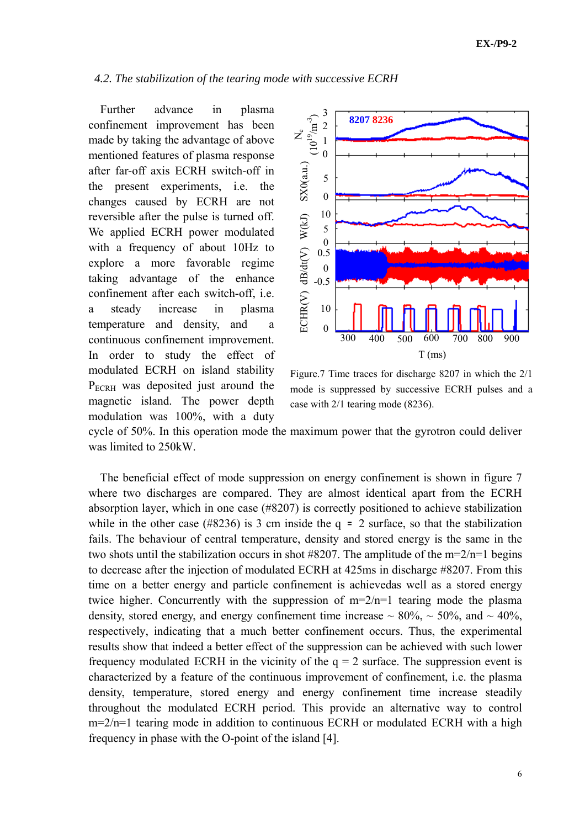### *4.2. The stabilization of the tearing mode with successive ECRH*

Further advance in plasma confinement improvement has been made by taking the advantage of above mentioned features of plasma response after far-off axis ECRH switch-off in the present experiments, i.e. the changes caused by ECRH are not reversible after the pulse is turned off. We applied ECRH power modulated with a frequency of about 10Hz to explore a more favorable regime taking advantage of the enhance confinement after each switch-off, i.e. a steady increase in plasma temperature and density, and a continuous confinement improvement. In order to study the effect of modulated ECRH on island stability P<sub>ECRH</sub> was deposited just around the magnetic island. The power depth modulation was 100%, with a duty



Figure.7 Time traces for discharge 8207 in which the 2/1 mode is suppressed by successive ECRH pulses and a case with 2/1 tearing mode (8236).

cycle of 50%. In this operation mode the maximum power that the gyrotron could deliver was limited to 250kW.

The beneficial effect of mode suppression on energy confinement is shown in figure 7 where two discharges are compared. They are almost identical apart from the ECRH absorption layer, which in one case (#8207) is correctly positioned to achieve stabilization while in the other case (#8236) is 3 cm inside the  $q = 2$  surface, so that the stabilization fails. The behaviour of central temperature, density and stored energy is the same in the two shots until the stabilization occurs in shot  $\#8207$ . The amplitude of the m=2/n=1 begins to decrease after the injection of modulated ECRH at 425ms in discharge #8207. From this time on a better energy and particle confinement is achievedas well as a stored energy twice higher. Concurrently with the suppression of m=2/n=1 tearing mode the plasma density, stored energy, and energy confinement time increase  $\sim 80\%$ ,  $\sim 50\%$ , and  $\sim 40\%$ , respectively, indicating that a much better confinement occurs. Thus, the experimental results show that indeed a better effect of the suppression can be achieved with such lower frequency modulated ECRH in the vicinity of the  $q = 2$  surface. The suppression event is characterized by a feature of the continuous improvement of confinement, i.e. the plasma density, temperature, stored energy and energy confinement time increase steadily throughout the modulated ECRH period. This provide an alternative way to control m=2/n=1 tearing mode in addition to continuous ECRH or modulated ECRH with a high frequency in phase with the O-point of the island [4].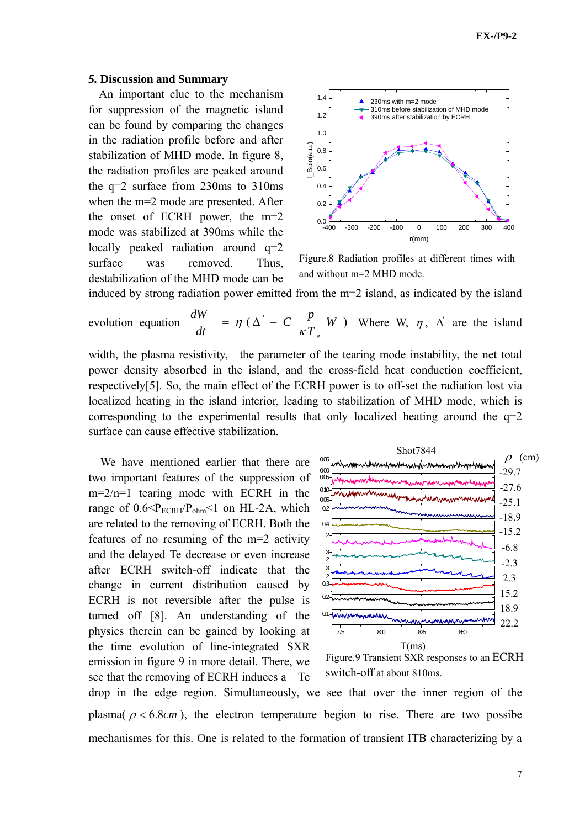#### *5.* **Discussion and Summary**

An important clue to the mechanism for suppression of the magnetic island can be found by comparing the changes in the radiation profile before and after stabilization of MHD mode. In figure 8, the radiation profiles are peaked around the q=2 surface from 230ms to 310ms when the m=2 mode are presented. After the onset of ECRH power, the m=2 mode was stabilized at 390ms while the locally peaked radiation around q=2 surface was removed. Thus, destabilization of the MHD mode can be



Figure.8 Radiation profiles at different times with and without m=2 MHD mode.

induced by strong radiation power emitted from the m=2 island, as indicated by the island

evolution equation 
$$
\frac{dW}{dt} = \eta (\Delta' - C \frac{p}{\kappa T_e} W)
$$
 Where W,  $\eta$ ,  $\Delta'$  are the island

width, the plasma resistivity, the parameter of the tearing mode instability, the net total power density absorbed in the island, and the cross-field heat conduction coefficient, respectively[5]. So, the main effect of the ECRH power is to off-set the radiation lost via localized heating in the island interior, leading to stabilization of MHD mode, which is corresponding to the experimental results that only localized heating around the  $q=2$ surface can cause effective stabilization.

We have mentioned earlier that there are two important features of the suppression of m=2/n=1 tearing mode with ECRH in the range of  $0.6 < P_{ECRH}/P_{ohm} < 1$  on HL-2A, which are related to the removing of ECRH. Both the features of no resuming of the m=2 activity and the delayed Te decrease or even increase after ECRH switch-off indicate that the change in current distribution caused by ECRH is not reversible after the pulse is turned off [8]. An understanding of the physics therein can be gained by looking at the time evolution of line-integrated SXR emission in figure 9 in more detail. There, we see that the removing of ECRH induces a Te



Figure.9 Transient SXR responses to an ECRH switch-off at about 810ms.

drop in the edge region. Simultaneously, we see that over the inner region of the plasma( $\rho < 6.8$ *cm*), the electron temperature begion to rise. There are two possibe mechanismes for this. One is related to the formation of transient ITB characterizing by a